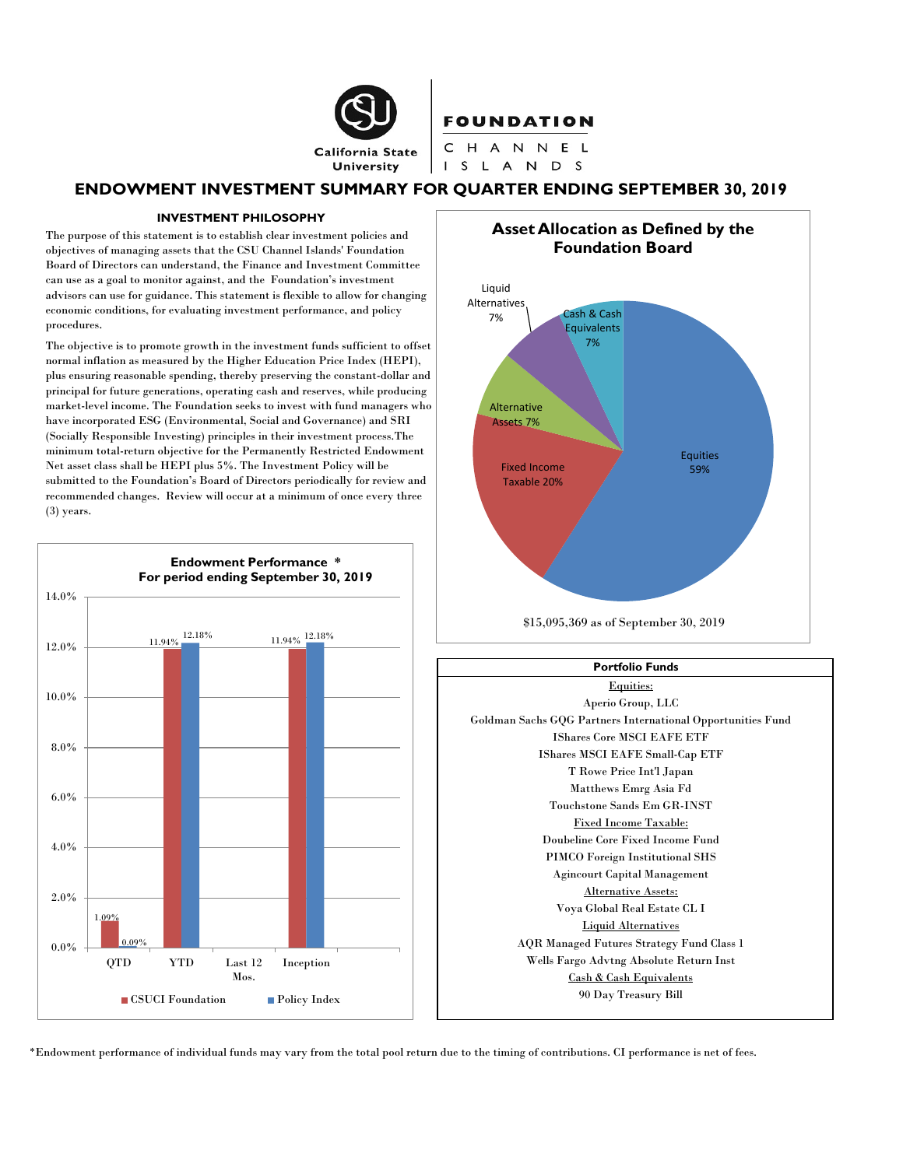

# **ENDOWMENT INVESTMENT SUMMARY FOR QUARTER ENDING SEPTEMBER 30, 2019**

#### **INVESTMENT PHILOSOPHY**

The purpose of this statement is to establish clear investment policies and objectives of managing assets that the CSU Channel Islands' Foundation Board of Directors can understand, the Finance and Investment Committee can use as a goal to monitor against, and the Foundation's investment advisors can use for guidance. This statement is flexible to allow for changing economic conditions, for evaluating investment performance, and policy procedures.

The objective is to promote growth in the investment funds sufficient to offset normal inflation as measured by the Higher Education Price Index (HEPI), plus ensuring reasonable spending, thereby preserving the constant-dollar and principal for future generations, operating cash and reserves, while producing market-level income. The Foundation seeks to invest with fund managers who have incorporated ESG (Environmental, Social and Governance) and SRI (Socially Responsible Investing) principles in their investment process.The minimum total-return objective for the Permanently Restricted Endowment Net asset class shall be HEPI plus 5%. The Investment Policy will be submitted to the Foundation's Board of Directors periodically for review and recommended changes. Review will occur at a minimum of once every three (3) years.





\$15,095,369 as of September 30, 2019



\*Endowment performance of individual funds may vary from the total pool return due to the timing of contributions. CI performance is net of fees.